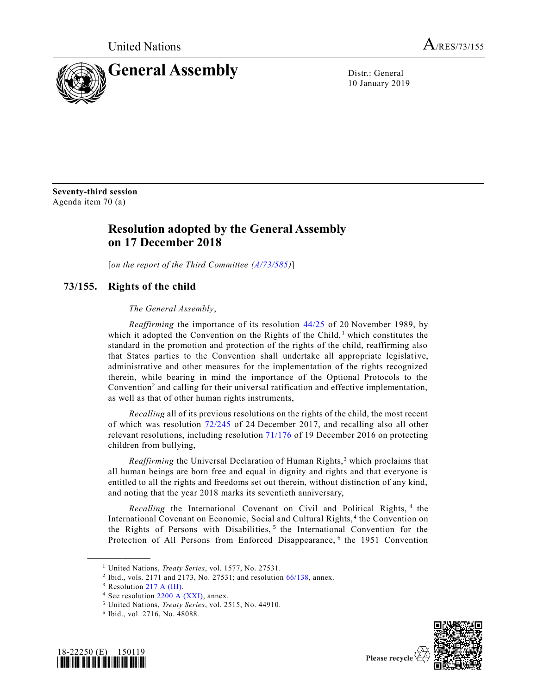

10 January 2019

**Seventy-third session** Agenda item 70 (a)

# **Resolution adopted by the General Assembly on 17 December 2018**

[*on the report of the Third Committee [\(A/73/585\)](https://undocs.org/A/73/585)*]

# **73/155. Rights of the child**

# <span id="page-0-1"></span>*The General Assembly*,

*Reaffirming* the importance of its resolution [44/25](https://undocs.org/A/RES/44/25) of 20 November 1989, by which it adopted the Convention on the Rights of the Child,  $\frac{1}{2}$  which constitutes the standard in the promotion and protection of the rights of the child, reaffirming also that States parties to the Convention shall undertake all appropriate legislative, administrative and other measures for the implementation of the rights recognized therein, while bearing in mind the importance of the Optional Protocols to the Convention<sup>2</sup> and calling for their universal ratification and effective implementation, as well as that of other human rights instruments,

<span id="page-0-2"></span>*Recalling* all of its previous resolutions on the rights of the child, the most recent of which was resolution [72/245](https://undocs.org/A/RES/72/245) of 24 December 2017, and recalling also all other relevant resolutions, including resolution [71/176](https://undocs.org/A/RES/71/176) of 19 December 2016 on protecting children from bullying,

*Reaffirming* the Universal Declaration of Human Rights,<sup>3</sup> which proclaims that all human beings are born free and equal in dignity and rights and that everyone is entitled to all the rights and freedoms set out therein, without distinction of any kind, and noting that the year 2018 marks its seventieth anniversary,

Recalling the International Covenant on Civil and Political Rights, <sup>4</sup> the International Covenant on Economic, Social and Cultural Rights,<sup>[4](#page-0-0)</sup> the Convention on the Rights of Persons with Disabilities,<sup>5</sup> the International Convention for the Protection of All Persons from Enforced Disappearance, <sup>6</sup> the 1951 Convention

**\_\_\_\_\_\_\_\_\_\_\_\_\_\_\_\_\_\_**

<sup>6</sup> Ibid., vol. 2716, No. 48088.



<span id="page-0-0"></span>

Please recycle  $\forall$ 

<sup>1</sup> United Nations, *Treaty Series*, vol. 1577, No. 27531.

<sup>&</sup>lt;sup>2</sup> Ibid., vols. 2171 and 2173, No. 27531; and resolution [66/138,](https://undocs.org/A/RES/66/138) annex.

<sup>&</sup>lt;sup>3</sup> Resolution 217 A [\(III\).](https://undocs.org/A/RES/217(III))

<sup>4</sup> See resolution 2200 A [\(XXI\),](https://undocs.org/A/RES/2200(XXI)) annex.

<sup>5</sup> United Nations, *Treaty Series*, vol. 2515, No. 44910.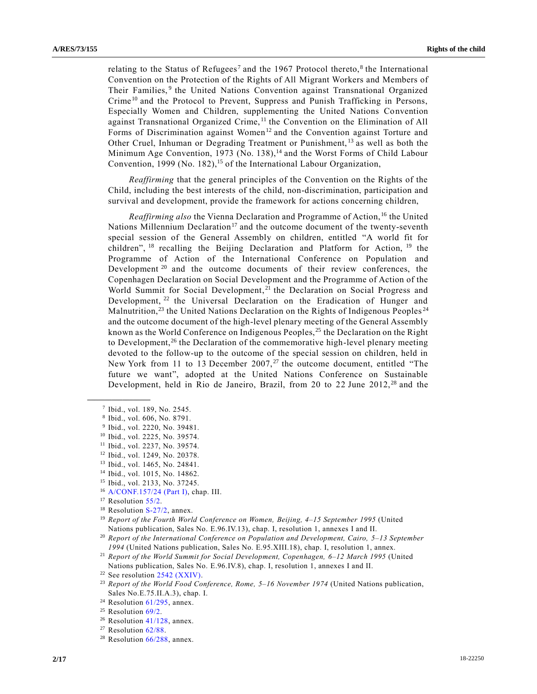relating to the Status of Refugees<sup>7</sup> and the 1967 Protocol thereto,<sup>8</sup> the International Convention on the Protection of the Rights of All Migrant Workers and Members of Their Families,<sup>9</sup> the United Nations Convention against Transnational Organized Crime<sup>10</sup> and the Protocol to Prevent, Suppress and Punish Trafficking in Persons, Especially Women and Children, supplementing the United Nations Convention against Transnational Organized Crime, <sup>11</sup> the Convention on the Elimination of All Forms of Discrimination against Women<sup>12</sup> and the Convention against Torture and Other Cruel, Inhuman or Degrading Treatment or Punishment, <sup>13</sup> as well as both the Minimum Age Convention, 1973 (No. 138),<sup>14</sup> and the Worst Forms of Child Labour Convention, 1999 (No. 182),<sup>15</sup> of the International Labour Organization,

*Reaffirming* that the general principles of the Convention on the Rights of the Child, including the best interests of the child, non-discrimination, participation and survival and development, provide the framework for actions concerning children,

<span id="page-1-0"></span>*Reaffirming also* the Vienna Declaration and Programme of Action, <sup>16</sup> the United Nations Millennium Declaration<sup>17</sup> and the outcome document of the twenty-seventh special session of the General Assembly on children, entitled "A world fit for children", <sup>18</sup> recalling the Beijing Declaration and Platform for Action, <sup>19</sup> the Programme of Action of the International Conference on Population and Development<sup>20</sup> and the outcome documents of their review conferences, the Copenhagen Declaration on Social Development and the Programme of Action of the World Summit for Social Development,<sup>21</sup> the Declaration on Social Progress and Development, <sup>22</sup> the Universal Declaration on the Eradication of Hunger and Malnutrition,<sup>23</sup> the United Nations Declaration on the Rights of Indigenous Peoples<sup>24</sup> and the outcome document of the high-level plenary meeting of the General Assembly known as the World Conference on Indigenous Peoples,<sup>25</sup> the Declaration on the Right to Development,<sup>26</sup> the Declaration of the commemorative high-level plenary meeting devoted to the follow-up to the outcome of the special session on children, held in New York from 11 to 13 December  $2007<sub>,2</sub><sup>27</sup>$  the outcome document, entitled "The future we want", adopted at the United Nations Conference on Sustainable Development, held in Rio de Janeiro, Brazil, from 20 to 22 June  $2012<sup>28</sup>$  and the

**\_\_\_\_\_\_\_\_\_\_\_\_\_\_\_\_\_\_**

<sup>16</sup> [A/CONF.157/24](https://undocs.org/A/CONF.157/24(PartI)) (Part I), chap. III.

<sup>18</sup> Resolution [S-27/2,](https://undocs.org/A/RES/S-27/2) annex.

<sup>7</sup> Ibid., vol. 189, No. 2545.

<sup>8</sup> Ibid., vol. 606, No. 8791.

<sup>9</sup> Ibid., vol. 2220, No. 39481.

<sup>10</sup> Ibid., vol. 2225, No. 39574.

<sup>11</sup> Ibid., vol. 2237, No. 39574.

<sup>12</sup> Ibid., vol. 1249, No. 20378.

<sup>13</sup> Ibid., vol. 1465, No. 24841.

<sup>14</sup> Ibid., vol. 1015, No. 14862.

<sup>15</sup> Ibid., vol. 2133, No. 37245.

<sup>&</sup>lt;sup>17</sup> Resolution [55/2.](https://undocs.org/A/RES/55/2)

<sup>19</sup> *Report of the Fourth World Conference on Women, Beijing, 4–15 September 1995* (United Nations publication, Sales No. E.96.IV.13), chap. I, resolution 1, annexes I and II.

<sup>20</sup> *Report of the International Conference on Population and Development, Cairo, 5–13 September 1994* (United Nations publication, Sales No. E.95.XIII.18), chap. I, resolution 1, annex.

<sup>21</sup> *Report of the World Summit for Social Development, Copenhagen, 6–12 March 1995* (United Nations publication, Sales No. E.96.IV.8), chap. I, resolution 1, annexes I and II.

 $22$  See resolution 2542 [\(XXIV\).](https://undocs.org/A/RES/2542(XXIV))

<sup>23</sup> *Report of the World Food Conference, Rome, 5–16 November 1974* (United Nations publication, Sales No.E.75.II.A.3), chap. I.

<sup>&</sup>lt;sup>24</sup> Resolution  $61/295$ , annex.

 $25$  Resolution  $69/2$ .

<sup>&</sup>lt;sup>26</sup> Resolution [41/128,](https://undocs.org/A/RES/41/128) annex.

<sup>27</sup> Resolution [62/88.](https://undocs.org/A/RES/62/88)

 $28$  Resolution [66/288,](https://undocs.org/A/RES/66/288) annex.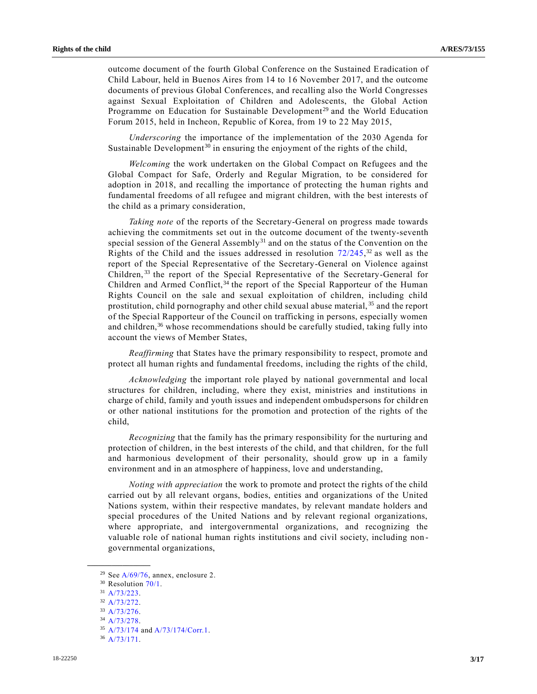outcome document of the fourth Global Conference on the Sustained Eradication of Child Labour, held in Buenos Aires from 14 to 16 November 2017, and the outcome documents of previous Global Conferences, and recalling also the World Congresses against Sexual Exploitation of Children and Adolescents, the Global Action Programme on Education for Sustainable Development<sup>29</sup> and the World Education Forum 2015, held in Incheon, Republic of Korea, from 19 to 22 May 2015,

<span id="page-2-0"></span>*Underscoring* the importance of the implementation of the 2030 Agenda for Sustainable Development<sup>30</sup> in ensuring the enjoyment of the rights of the child,

*Welcoming* the work undertaken on the Global Compact on Refugees and the Global Compact for Safe, Orderly and Regular Migration, to be considered for adoption in 2018, and recalling the importance of protecting the human rights and fundamental freedoms of all refugee and migrant children, with the best interests of the child as a primary consideration,

*Taking note* of the reports of the Secretary-General on progress made towards achieving the commitments set out in the outcome document of the twenty-seventh special session of the General Assembly $31$  and on the status of the Convention on the Rights of the Child and the issues addressed in resolution  $72/245$ ,  $32$  as well as the report of the Special Representative of the Secretary-General on Violence against Children,<sup>33</sup> the report of the Special Representative of the Secretary-General for Children and Armed Conflict,  $34$  the report of the Special Rapporteur of the Human Rights Council on the sale and sexual exploitation of children, including child prostitution, child pornography and other child sexual abuse material, <sup>35</sup> and the report of the Special Rapporteur of the Council on trafficking in persons, especially women and children,<sup>36</sup> whose recommendations should be carefully studied, taking fully into account the views of Member States,

*Reaffirming* that States have the primary responsibility to respect, promote and protect all human rights and fundamental freedoms, including the rights of the child,

*Acknowledging* the important role played by national governmental and local structures for children, including, where they exist, ministries and institutions in charge of child, family and youth issues and independent ombudspersons for children or other national institutions for the promotion and protection of the rights of the child,

*Recognizing* that the family has the primary responsibility for the nurturing and protection of children, in the best interests of the child, and that children, for the full and harmonious development of their personality, should grow up in a family environment and in an atmosphere of happiness, love and understanding,

*Noting with appreciation* the work to promote and protect the rights of the child carried out by all relevant organs, bodies, entities and organizations of the United Nations system, within their respective mandates, by relevant mandate holders and special procedures of the United Nations and by relevant regional organizations, where appropriate, and intergovernmental organizations, and recognizing the valuable role of national human rights institutions and civil society, including non governmental organizations,

<sup>&</sup>lt;sup>29</sup> See  $A/69/76$ , annex, enclosure 2.

<sup>&</sup>lt;sup>30</sup> Resolution [70/1.](https://undocs.org/A/RES/70/1)

<sup>31</sup> [A/73/223.](https://undocs.org/A/73/223)

<sup>32</sup> [A/73/272.](https://undocs.org/A/73/272)

<sup>33</sup> [A/73/276.](https://undocs.org/A/73/276)

<sup>34</sup> [A/73/278.](https://undocs.org/A/73/278)

<sup>35</sup> [A/73/174](https://undocs.org/A/73/174) and [A/73/174/Corr.1.](https://undocs.org/A/73/174/Corr.1)

<sup>36</sup> [A/73/171.](https://undocs.org/A/73/171)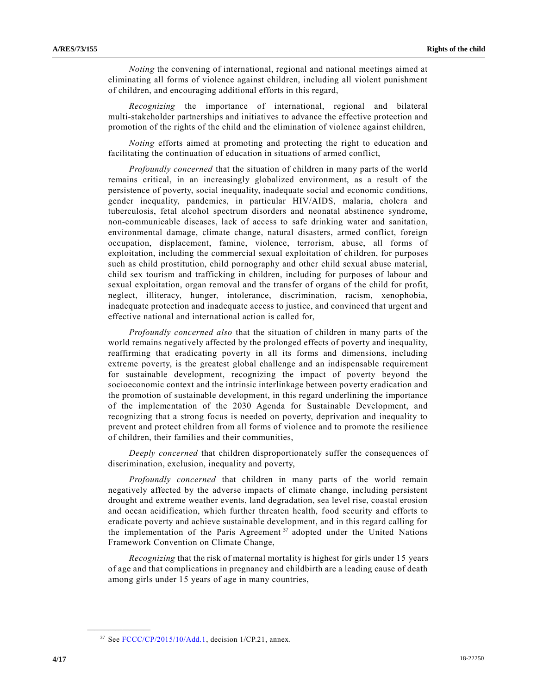*Noting* the convening of international, regional and national meetings aimed at eliminating all forms of violence against children, including all violent punishment of children, and encouraging additional efforts in this regard,

*Recognizing* the importance of international, regional and bilateral multi-stakeholder partnerships and initiatives to advance the effective protection and promotion of the rights of the child and the elimination of violence against children,

*Noting* efforts aimed at promoting and protecting the right to education and facilitating the continuation of education in situations of armed conflict,

*Profoundly concerned* that the situation of children in many parts of the world remains critical, in an increasingly globalized environment, as a result of the persistence of poverty, social inequality, inadequate social and economic conditions, gender inequality, pandemics, in particular HIV/AIDS, malaria, cholera and tuberculosis, fetal alcohol spectrum disorders and neonatal abstinence syndrome, non-communicable diseases, lack of access to safe drinking water and sanitation, environmental damage, climate change, natural disasters, armed conflict, foreign occupation, displacement, famine, violence, terrorism, abuse, all forms of exploitation, including the commercial sexual exploitation of children, for purposes such as child prostitution, child pornography and other child sexual abuse material, child sex tourism and trafficking in children, including for purposes of labour and sexual exploitation, organ removal and the transfer of organs of the child for profit, neglect, illiteracy, hunger, intolerance, discrimination, racism, xenophobia, inadequate protection and inadequate access to justice, and convinced that urgent and effective national and international action is called for,

*Profoundly concerned also* that the situation of children in many parts of the world remains negatively affected by the prolonged effects of poverty and inequality, reaffirming that eradicating poverty in all its forms and dimensions, including extreme poverty, is the greatest global challenge and an indispensable requirement for sustainable development, recognizing the impact of poverty beyond the socioeconomic context and the intrinsic interlinkage between poverty eradication and the promotion of sustainable development, in this regard underlining the importance of the implementation of the 2030 Agenda for Sustainable Development, and recognizing that a strong focus is needed on poverty, deprivation and inequality to prevent and protect children from all forms of violence and to promote the resilience of children, their families and their communities,

*Deeply concerned* that children disproportionately suffer the consequences of discrimination, exclusion, inequality and poverty,

*Profoundly concerned* that children in many parts of the world remain negatively affected by the adverse impacts of climate change, including persistent drought and extreme weather events, land degradation, sea level rise, coastal erosion and ocean acidification, which further threaten health, food security and efforts to eradicate poverty and achieve sustainable development, and in this regard calling for the implementation of the Paris Agreement<sup>37</sup> adopted under the United Nations Framework Convention on Climate Change,

*Recognizing* that the risk of maternal mortality is highest for girls under 15 years of age and that complications in pregnancy and childbirth are a leading cause of death among girls under 15 years of age in many countries,

<sup>37</sup> See [FCCC/CP/2015/10/Add.1,](https://undocs.org/FCCC/CP/2015/10/Add.1) decision 1/CP.21, annex.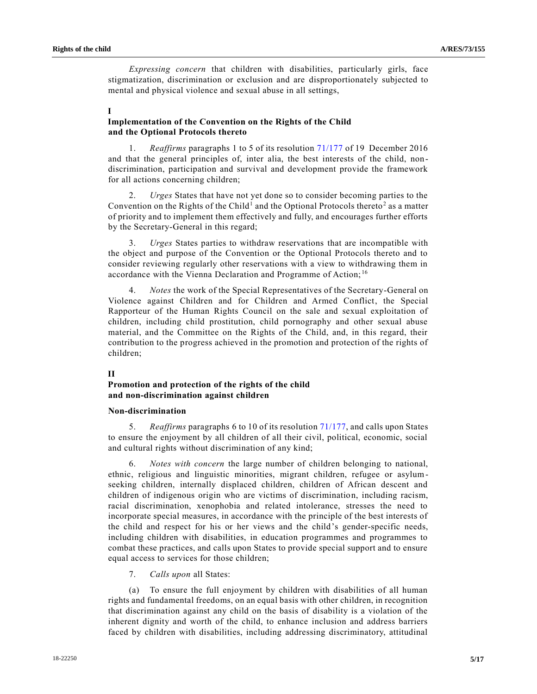*Expressing concern* that children with disabilities, particularly girls, face stigmatization, discrimination or exclusion and are disproportionately subjected to mental and physical violence and sexual abuse in all settings,

### **I**

# **Implementation of the Convention on the Rights of the Child and the Optional Protocols thereto**

1. *Reaffirms* paragraphs 1 to 5 of its resolution [71/177](https://undocs.org/A/RES/71/177) of 19 December 2016 and that the general principles of, inter alia, the best interests of the child, non discrimination, participation and survival and development provide the framework for all actions concerning children;

2. *Urges* States that have not yet done so to consider becoming parties to the Convention on the Rights of the Child<sup>[1](#page-0-1)</sup> and the Optional Protocols thereto<sup>[2](#page-0-2)</sup> as a matter of priority and to implement them effectively and fully, and encourages further efforts by the Secretary-General in this regard;

3. *Urges* States parties to withdraw reservations that are incompatible with the object and purpose of the Convention or the Optional Protocols thereto and to consider reviewing regularly other reservations with a view to withdrawing them in accordance with the Vienna Declaration and Programme of Action;<sup>[16](#page-1-0)</sup>

4. *Notes* the work of the Special Representatives of the Secretary-General on Violence against Children and for Children and Armed Conflict, the Special Rapporteur of the Human Rights Council on the sale and sexual exploitation of children, including child prostitution, child pornography and other sexual abuse material, and the Committee on the Rights of the Child, and, in this regard, their contribution to the progress achieved in the promotion and protection of the rights of children;

## **II**

# **Promotion and protection of the rights of the child and non-discrimination against children**

#### **Non-discrimination**

5. *Reaffirms* paragraphs 6 to 10 of its resolution [71/177,](https://undocs.org/A/RES/71/177) and calls upon States to ensure the enjoyment by all children of all their civil, political, economic, social and cultural rights without discrimination of any kind;

6. *Notes with concern* the large number of children belonging to national, ethnic, religious and linguistic minorities, migrant children, refugee or asylumseeking children, internally displaced children, children of African descent and children of indigenous origin who are victims of discrimination, including racism, racial discrimination, xenophobia and related intolerance, stresses the need to incorporate special measures, in accordance with the principle of the best interests of the child and respect for his or her views and the child's gender-specific needs, including children with disabilities, in education programmes and programmes to combat these practices, and calls upon States to provide special support and to ensure equal access to services for those children;

7. *Calls upon* all States:

(a) To ensure the full enjoyment by children with disabilities of all human rights and fundamental freedoms, on an equal basis with other children, in recognition that discrimination against any child on the basis of disability is a violation of the inherent dignity and worth of the child, to enhance inclusion and address barriers faced by children with disabilities, including addressing discriminatory, attitudinal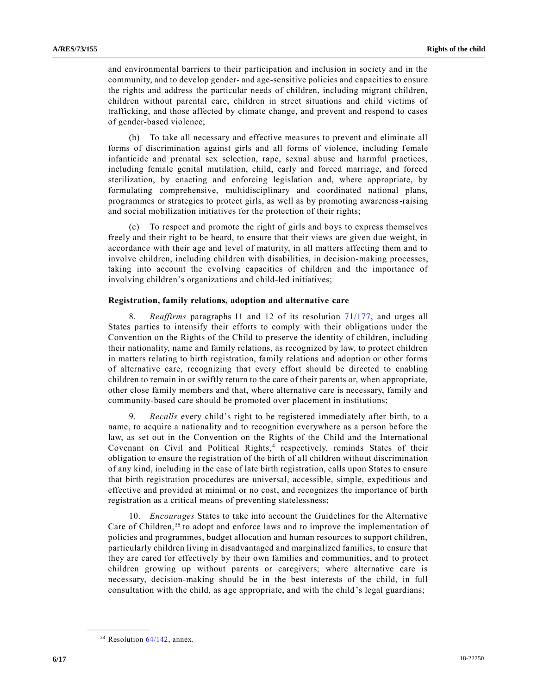and environmental barriers to their participation and inclusion in society and in the community, and to develop gender- and age-sensitive policies and capacities to ensure the rights and address the particular needs of children, including migrant children, children without parental care, children in street situations and child victims of trafficking, and those affected by climate change, and prevent and respond to cases of gender-based violence;

(b) To take all necessary and effective measures to prevent and eliminate all forms of discrimination against girls and all forms of violence, including female infanticide and prenatal sex selection, rape, sexual abuse and harmful practices, including female genital mutilation, child, early and forced marriage, and forced sterilization, by enacting and enforcing legislation and, where appropriate, by formulating comprehensive, multidisciplinary and coordinated national plans, programmes or strategies to protect girls, as well as by promoting awareness-raising and social mobilization initiatives for the protection of their rights;

(c) To respect and promote the right of girls and boys to express themselves freely and their right to be heard, to ensure that their views are given due weight, in accordance with their age and level of maturity, in all matters affecting them and to involve children, including children with disabilities, in decision-making processes, taking into account the evolving capacities of children and the importance of involving children's organizations and child-led initiatives;

#### **Registration, family relations, adoption and alternative care**

8. *Reaffirms* paragraphs 11 and 12 of its resolution [71/177,](https://undocs.org/A/RES/71/177) and urges all States parties to intensify their efforts to comply with their obligations under the Convention on the Rights of the Child to preserve the identity of children, including their nationality, name and family relations, as recognized by law, to protect children in matters relating to birth registration, family relations and adoption or other forms of alternative care, recognizing that every effort should be directed to enabling children to remain in or swiftly return to the care of their parents or, when appropriate, other close family members and that, where alternative care is necessary, family and community-based care should be promoted over placement in institutions;

9. *Recalls* every child's right to be registered immediately after birth, to a name, to acquire a nationality and to recognition everywhere as a person before the law, as set out in the Convention on the Rights of the Child and the International Covenant on Civil and Political Rights,<sup>[4](#page-0-0)</sup> respectively, reminds States of their obligation to ensure the registration of the birth of all children without discrimination of any kind, including in the case of late birth registration, calls upon States to ensure that birth registration procedures are universal, accessible, simple, expeditious and effective and provided at minimal or no cost, and recognizes the importance of birth registration as a critical means of preventing statelessness;

10. *Encourages* States to take into account the Guidelines for the Alternative Care of Children,<sup>38</sup> to adopt and enforce laws and to improve the implementation of policies and programmes, budget allocation and human resources to support children, particularly children living in disadvantaged and marginalized families, to ensure that they are cared for effectively by their own families and communities, and to protect children growing up without parents or caregivers; where alternative care is necessary, decision-making should be in the best interests of the child, in full consultation with the child, as age appropriate, and with the child's legal guardians;

 $38$  Resolution  $64/142$ , annex.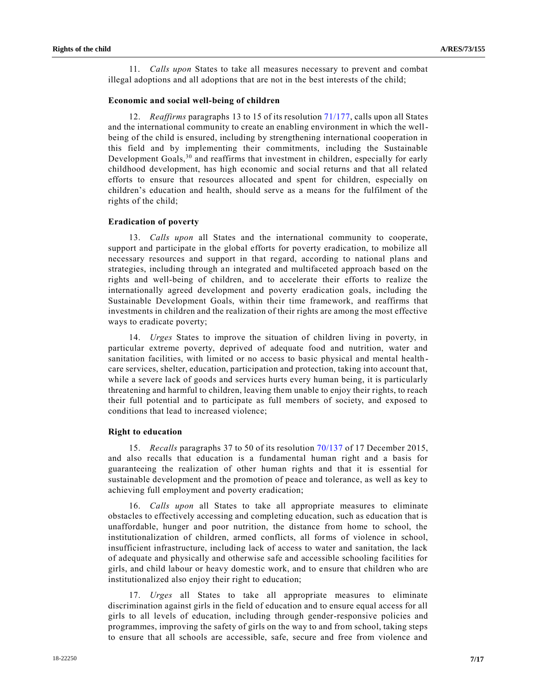11. *Calls upon* States to take all measures necessary to prevent and combat illegal adoptions and all adoptions that are not in the best interests of the child;

#### **Economic and social well-being of children**

12. *Reaffirms* paragraphs 13 to 15 of its resolutio[n 71/177,](https://undocs.org/A/RES/71/177) calls upon all States and the international community to create an enabling environment in which the wellbeing of the child is ensured, including by strengthening international cooperation in this field and by implementing their commitments, including the Sustainable Development Goals,<sup>[30](#page-2-0)</sup> and reaffirms that investment in children, especially for early childhood development, has high economic and social returns and that all related efforts to ensure that resources allocated and spent for children, especially on children's education and health, should serve as a means for the fulfilment of the rights of the child;

### **Eradication of poverty**

13. *Calls upon* all States and the international community to cooperate, support and participate in the global efforts for poverty eradication, to mobilize all necessary resources and support in that regard, according to national plans and strategies, including through an integrated and multifaceted approach based on the rights and well-being of children, and to accelerate their efforts to realize the internationally agreed development and poverty eradication goals, including the Sustainable Development Goals, within their time framework, and reaffirms that investments in children and the realization of their rights are among the most effective ways to eradicate poverty;

14. *Urges* States to improve the situation of children living in poverty, in particular extreme poverty, deprived of adequate food and nutrition, water and sanitation facilities, with limited or no access to basic physical and mental health care services, shelter, education, participation and protection, taking into account that, while a severe lack of goods and services hurts every human being, it is particularly threatening and harmful to children, leaving them unable to enjoy their rights, to reach their full potential and to participate as full members of society, and exposed to conditions that lead to increased violence;

#### **Right to education**

15. *Recalls* paragraphs 37 to 50 of its resolution [70/137](https://undocs.org/A/RES/70/137) of 17 December 2015, and also recalls that education is a fundamental human right and a basis for guaranteeing the realization of other human rights and that it is essential for sustainable development and the promotion of peace and tolerance, as well as key to achieving full employment and poverty eradication;

16. *Calls upon* all States to take all appropriate measures to eliminate obstacles to effectively accessing and completing education, such as education that is unaffordable, hunger and poor nutrition, the distance from home to school, the institutionalization of children, armed conflicts, all forms of violence in school, insufficient infrastructure, including lack of access to water and sanitation, the lack of adequate and physically and otherwise safe and accessible schooling facilities for girls, and child labour or heavy domestic work, and to ensure that children who are institutionalized also enjoy their right to education;

17. *Urges* all States to take all appropriate measures to eliminate discrimination against girls in the field of education and to ensure equal access for all girls to all levels of education, including through gender-responsive policies and programmes, improving the safety of girls on the way to and from school, taking steps to ensure that all schools are accessible, safe, secure and free from violence and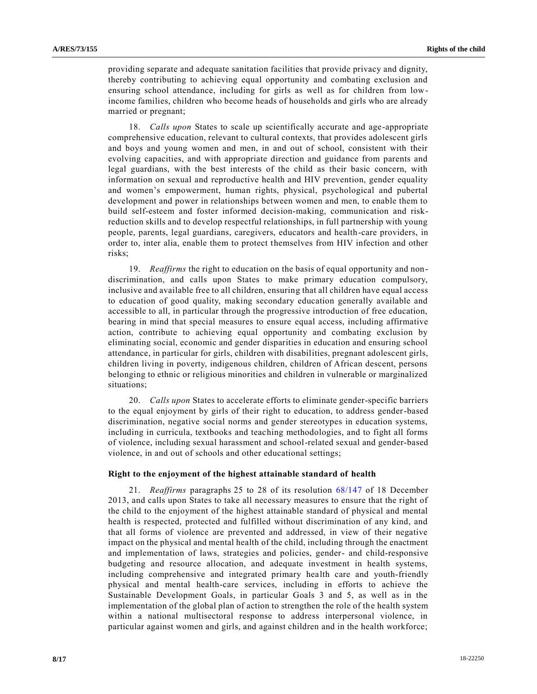providing separate and adequate sanitation facilities that provide privacy and dignity, thereby contributing to achieving equal opportunity and combating exclusion and ensuring school attendance, including for girls as well as for children from lowincome families, children who become heads of households and girls who are already married or pregnant;

18. *Calls upon* States to scale up scientifically accurate and age-appropriate comprehensive education, relevant to cultural contexts, that provides adolescent girls and boys and young women and men, in and out of school, consistent with their evolving capacities, and with appropriate direction and guidance from parents and legal guardians, with the best interests of the child as their basic concern, with information on sexual and reproductive health and HIV prevention, gender equality and women's empowerment, human rights, physical, psychological and pubertal development and power in relationships between women and men, to enable them to build self-esteem and foster informed decision-making, communication and riskreduction skills and to develop respectful relationships, in full partnership with young people, parents, legal guardians, caregivers, educators and health-care providers, in order to, inter alia, enable them to protect themselves from HIV infection and other risks;

19. *Reaffirms* the right to education on the basis of equal opportunity and nondiscrimination, and calls upon States to make primary education compulsory, inclusive and available free to all children, ensuring that all children have equal access to education of good quality, making secondary education generally available and accessible to all, in particular through the progressive introduction of free education, bearing in mind that special measures to ensure equal access, including affirmative action, contribute to achieving equal opportunity and combating exclusion by eliminating social, economic and gender disparities in education and ensuring school attendance, in particular for girls, children with disabilities, pregnant adolescent girls, children living in poverty, indigenous children, children of African descent, persons belonging to ethnic or religious minorities and children in vulnerable or marginalized situations;

20. *Calls upon* States to accelerate efforts to eliminate gender-specific barriers to the equal enjoyment by girls of their right to education, to address gender-based discrimination, negative social norms and gender stereotypes in education systems, including in curricula, textbooks and teaching methodologies, and to fight all forms of violence, including sexual harassment and school-related sexual and gender-based violence, in and out of schools and other educational settings;

#### **Right to the enjoyment of the highest attainable standard of health**

21. *Reaffirms* paragraphs 25 to 28 of its resolution [68/147](https://undocs.org/A/RES/68/147) of 18 December 2013, and calls upon States to take all necessary measures to ensure that the right of the child to the enjoyment of the highest attainable standard of physical and mental health is respected, protected and fulfilled without discrimination of any kind, and that all forms of violence are prevented and addressed, in view of their negative impact on the physical and mental health of the child, including through the enactment and implementation of laws, strategies and policies, gender- and child-responsive budgeting and resource allocation, and adequate investment in health systems, including comprehensive and integrated primary health care and youth-friendly physical and mental health-care services, including in efforts to achieve the Sustainable Development Goals, in particular Goals 3 and 5, as well as in the implementation of the global plan of action to strengthen the role of the health system within a national multisectoral response to address interpersonal violence, in particular against women and girls, and against children and in the health workforce;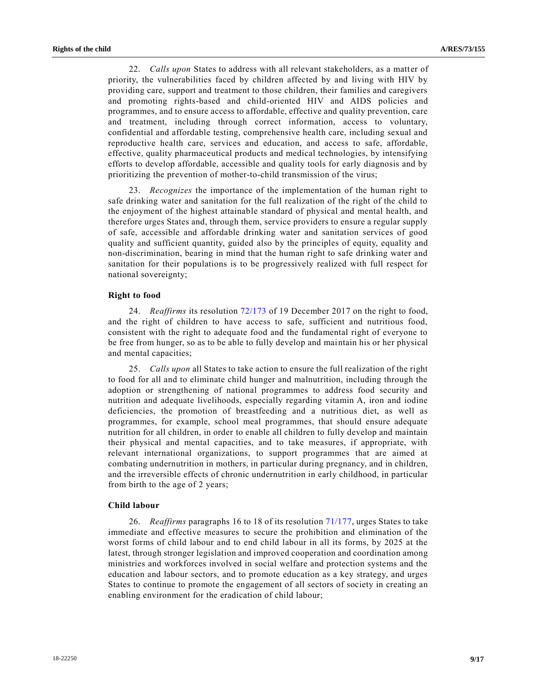22. *Calls upon* States to address with all relevant stakeholders, as a matter of priority, the vulnerabilities faced by children affected by and living with HIV by providing care, support and treatment to those children, their families and caregivers and promoting rights-based and child-oriented HIV and AIDS policies and programmes, and to ensure access to affordable, effective and quality prevention, care and treatment, including through correct information, access to voluntary, confidential and affordable testing, comprehensive health care, including sexual and reproductive health care, services and education, and access to safe, affordable, effective, quality pharmaceutical products and medical technologies, by intensifying efforts to develop affordable, accessible and quality tools for early diagnosis and by prioritizing the prevention of mother-to-child transmission of the virus;

23. *Recognizes* the importance of the implementation of the human right to safe drinking water and sanitation for the full realization of the right of the child to the enjoyment of the highest attainable standard of physical and mental health, and therefore urges States and, through them, service providers to ensure a regular supply of safe, accessible and affordable drinking water and sanitation services of good quality and sufficient quantity, guided also by the principles of equity, equality and non-discrimination, bearing in mind that the human right to safe drinking water and sanitation for their populations is to be progressively realized with full respect for national sovereignty;

#### **Right to food**

24. *Reaffirms* its resolution [72/173](https://undocs.org/A/RES/72/173) of 19 December 2017 on the right to food, and the right of children to have access to safe, sufficient and nutritious food, consistent with the right to adequate food and the fundamental right of everyone to be free from hunger, so as to be able to fully develop and maintain his or her physical and mental capacities;

25. *Calls upon* all States to take action to ensure the full realization of the right to food for all and to eliminate child hunger and malnutrition, including through the adoption or strengthening of national programmes to address food security and nutrition and adequate livelihoods, especially regarding vitamin A, iron and iodine deficiencies, the promotion of breastfeeding and a nutritious diet, as well as programmes, for example, school meal programmes, that should ensure adequate nutrition for all children, in order to enable all children to fully develop and maintain their physical and mental capacities, and to take measures, if appropriate, with relevant international organizations, to support programmes that are aimed at combating undernutrition in mothers, in particular during pregnancy, and in children, and the irreversible effects of chronic undernutrition in early childhood, in particular from birth to the age of 2 years;

# **Child labour**

26. *Reaffirms* paragraphs 16 to 18 of its resolution [71/177,](https://undocs.org/A/RES/71/177) urges States to take immediate and effective measures to secure the prohibition and elimination of the worst forms of child labour and to end child labour in all its forms, by 2025 at the latest, through stronger legislation and improved cooperation and coordination among ministries and workforces involved in social welfare and protection systems and the education and labour sectors, and to promote education as a key strategy, and urges States to continue to promote the engagement of all sectors of society in creating an enabling environment for the eradication of child labour;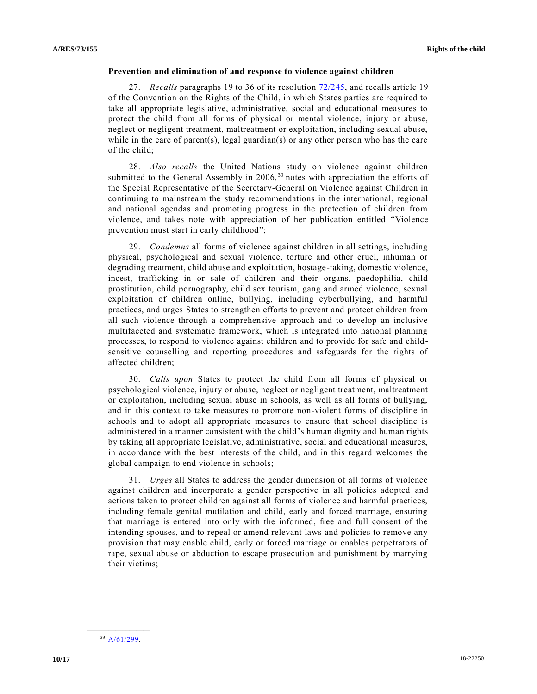#### **Prevention and elimination of and response to violence against children**

27. *Recalls* paragraphs 19 to 36 of its resolution [72/245,](https://undocs.org/A/RES/72/245) and recalls article 19 of the Convention on the Rights of the Child, in which States parties are required to take all appropriate legislative, administrative, social and educational measures to protect the child from all forms of physical or mental violence, injury or abuse, neglect or negligent treatment, maltreatment or exploitation, including sexual abuse, while in the care of parent(s), legal guardian(s) or any other person who has the care of the child;

28. *Also recalls* the United Nations study on violence against children submitted to the General Assembly in  $2006<sup>39</sup>$  notes with appreciation the efforts of the Special Representative of the Secretary-General on Violence against Children in continuing to mainstream the study recommendations in the international, regional and national agendas and promoting progress in the protection of children from violence, and takes note with appreciation of her publication entitled "Violence prevention must start in early childhood";

29. *Condemns* all forms of violence against children in all settings, including physical, psychological and sexual violence, torture and other cruel, inhuman or degrading treatment, child abuse and exploitation, hostage-taking, domestic violence, incest, trafficking in or sale of children and their organs, paedophilia, child prostitution, child pornography, child sex tourism, gang and armed violence, sexual exploitation of children online, bullying, including cyberbullying, and harmful practices, and urges States to strengthen efforts to prevent and protect children from all such violence through a comprehensive approach and to develop an inclusive multifaceted and systematic framework, which is integrated into national planning processes, to respond to violence against children and to provide for safe and childsensitive counselling and reporting procedures and safeguards for the rights of affected children;

30. *Calls upon* States to protect the child from all forms of physical or psychological violence, injury or abuse, neglect or negligent treatment, maltreatment or exploitation, including sexual abuse in schools, as well as all forms of bullying, and in this context to take measures to promote non-violent forms of discipline in schools and to adopt all appropriate measures to ensure that school discipline is administered in a manner consistent with the child's human dignity and human rights by taking all appropriate legislative, administrative, social and educational measures, in accordance with the best interests of the child, and in this regard welcomes the global campaign to end violence in schools;

31. *Urges* all States to address the gender dimension of all forms of violence against children and incorporate a gender perspective in all policies adopted and actions taken to protect children against all forms of violence and harmful practices, including female genital mutilation and child, early and forced marriage, ensuring that marriage is entered into only with the informed, free and full consent of the intending spouses, and to repeal or amend relevant laws and policies to remove any provision that may enable child, early or forced marriage or enables perpetrators of rape, sexual abuse or abduction to escape prosecution and punishment by marrying their victims;

**\_\_\_\_\_\_\_\_\_\_\_\_\_\_\_\_\_\_** <sup>39</sup> [A/61/299.](https://undocs.org/A/61/299)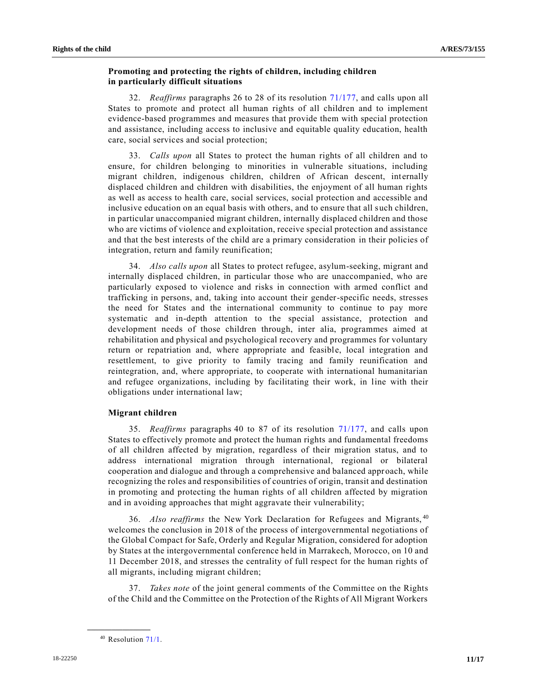## **Promoting and protecting the rights of children, including children in particularly difficult situations**

32. *Reaffirms* paragraphs 26 to 28 of its resolution [71/177,](https://undocs.org/A/RES/71/177) and calls upon all States to promote and protect all human rights of all children and to implement evidence-based programmes and measures that provide them with special protection and assistance, including access to inclusive and equitable quality education, health care, social services and social protection;

33. *Calls upon* all States to protect the human rights of all children and to ensure, for children belonging to minorities in vulnerable situations, including migrant children, indigenous children, children of African descent, internally displaced children and children with disabilities, the enjoyment of all human rights as well as access to health care, social services, social protection and accessible and inclusive education on an equal basis with others, and to ensure that all such children, in particular unaccompanied migrant children, internally displaced children and those who are victims of violence and exploitation, receive special protection and assistance and that the best interests of the child are a primary consideration in their policies of integration, return and family reunification;

34. *Also calls upon* all States to protect refugee, asylum-seeking, migrant and internally displaced children, in particular those who are unaccompanied, who are particularly exposed to violence and risks in connection with armed conflict and trafficking in persons, and, taking into account their gender-specific needs, stresses the need for States and the international community to continue to pay more systematic and in-depth attention to the special assistance, protection and development needs of those children through, inter alia, programmes aimed at rehabilitation and physical and psychological recovery and programmes for voluntary return or repatriation and, where appropriate and feasible, local integration and resettlement, to give priority to family tracing and family reunification and reintegration, and, where appropriate, to cooperate with international humanitarian and refugee organizations, including by facilitating their work, in line with their obligations under international law;

#### **Migrant children**

35. *Reaffirms* paragraphs 40 to 87 of its resolution [71/177,](https://undocs.org/A/RES/71/177) and calls upon States to effectively promote and protect the human rights and fundamental freedoms of all children affected by migration, regardless of their migration status, and to address international migration through international, regional or bilateral cooperation and dialogue and through a comprehensive and balanced approach, while recognizing the roles and responsibilities of countries of origin, transit and destination in promoting and protecting the human rights of all children affected by migration and in avoiding approaches that might aggravate their vulnerability;

36. *Also reaffirms* the New York Declaration for Refugees and Migrants, <sup>40</sup> welcomes the conclusion in 2018 of the process of intergovernmental negotiations of the Global Compact for Safe, Orderly and Regular Migration, considered for adoption by States at the intergovernmental conference held in Marrakech, Morocco, on 10 and 11 December 2018, and stresses the centrality of full respect for the human rights of all migrants, including migrant children;

37. *Takes note* of the joint general comments of the Committee on the Rights of the Child and the Committee on the Protection of the Rights of All Migrant Workers

<sup>&</sup>lt;sup>40</sup> Resolution [71/1.](https://undocs.org/A/RES/71/1)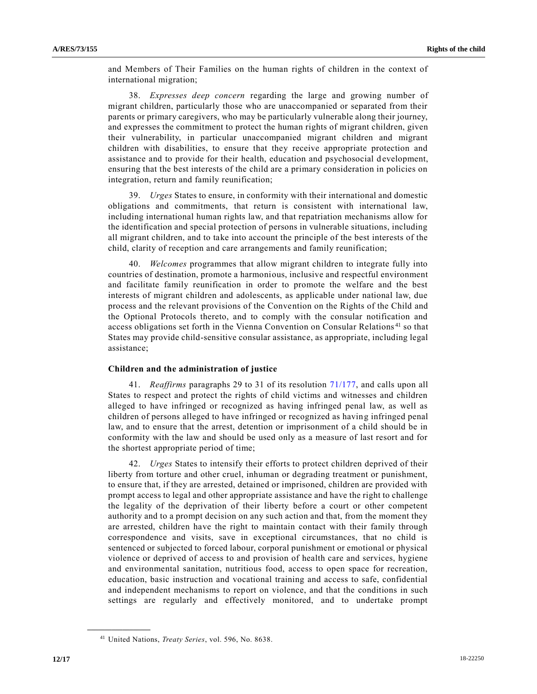and Members of Their Families on the human rights of children in the context of international migration;

38. *Expresses deep concern* regarding the large and growing number of migrant children, particularly those who are unaccompanied or separated from their parents or primary caregivers, who may be particularly vulnerable along their journey, and expresses the commitment to protect the human rights of migrant children, given their vulnerability, in particular unaccompanied migrant children and migrant children with disabilities, to ensure that they receive appropriate protection and assistance and to provide for their health, education and psychosocial development, ensuring that the best interests of the child are a primary consideration in policies on integration, return and family reunification;

39. *Urges* States to ensure, in conformity with their international and domestic obligations and commitments, that return is consistent with international law, including international human rights law, and that repatriation mechanisms allow for the identification and special protection of persons in vulnerable situations, including all migrant children, and to take into account the principle of the best interests of the child, clarity of reception and care arrangements and family reunification;

40. *Welcomes* programmes that allow migrant children to integrate fully into countries of destination, promote a harmonious, inclusive and respectful environment and facilitate family reunification in order to promote the welfare and the best interests of migrant children and adolescents, as applicable under national law, due process and the relevant provisions of the Convention on the Rights of the Child and the Optional Protocols thereto, and to comply with the consular notification and access obligations set forth in the Vienna Convention on Consular Relations<sup>41</sup> so that States may provide child-sensitive consular assistance, as appropriate, including legal assistance;

#### **Children and the administration of justice**

41. *Reaffirms* paragraphs 29 to 31 of its resolution [71/177,](https://undocs.org/A/RES/71/177) and calls upon all States to respect and protect the rights of child victims and witnesses and children alleged to have infringed or recognized as having infringed penal law, as well as children of persons alleged to have infringed or recognized as having infringed penal law, and to ensure that the arrest, detention or imprisonment of a child should be in conformity with the law and should be used only as a measure of last resort and for the shortest appropriate period of time;

42. *Urges* States to intensify their efforts to protect children deprived of their liberty from torture and other cruel, inhuman or degrading treatment or punishment, to ensure that, if they are arrested, detained or imprisoned, children are provided with prompt access to legal and other appropriate assistance and have the right to challenge the legality of the deprivation of their liberty before a court or other competent authority and to a prompt decision on any such action and that, from the moment they are arrested, children have the right to maintain contact with their family through correspondence and visits, save in exceptional circumstances, that no child is sentenced or subjected to forced labour, corporal punishment or emotional or physical violence or deprived of access to and provision of health care and services, hygiene and environmental sanitation, nutritious food, access to open space for recreation, education, basic instruction and vocational training and access to safe, confidential and independent mechanisms to report on violence, and that the conditions in such settings are regularly and effectively monitored, and to undertake prompt

<sup>41</sup> United Nations, *Treaty Series*, vol. 596, No. 8638.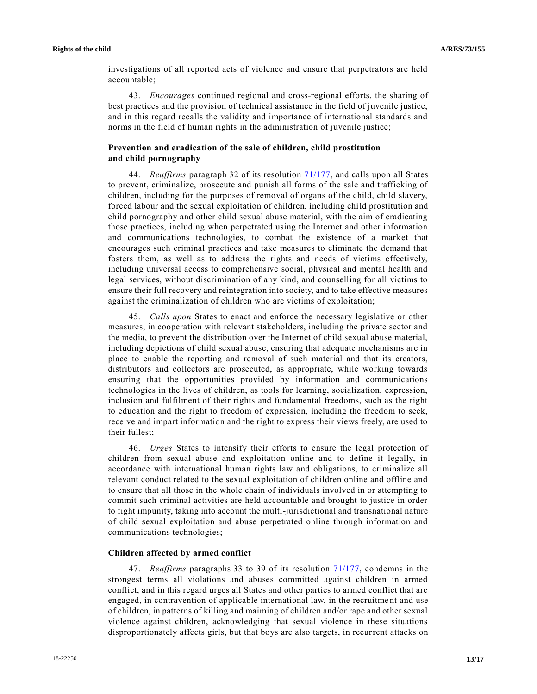investigations of all reported acts of violence and ensure that perpetrators are held accountable;

43. *Encourages* continued regional and cross-regional efforts, the sharing of best practices and the provision of technical assistance in the field of juvenile justice, and in this regard recalls the validity and importance of international standards and norms in the field of human rights in the administration of juvenile justice;

# **Prevention and eradication of the sale of children, child prostitution and child pornography**

44. *Reaffirms* paragraph 32 of its resolution [71/177,](https://undocs.org/A/RES/71/177) and calls upon all States to prevent, criminalize, prosecute and punish all forms of the sale and trafficking of children, including for the purposes of removal of organs of the child, child slavery, forced labour and the sexual exploitation of children, including child prostitution and child pornography and other child sexual abuse material, with the aim of eradicating those practices, including when perpetrated using the Internet and other information and communications technologies, to combat the existence of a market that encourages such criminal practices and take measures to eliminate the demand that fosters them, as well as to address the rights and needs of victims effectively, including universal access to comprehensive social, physical and mental health and legal services, without discrimination of any kind, and counselling for all victims to ensure their full recovery and reintegration into society, and to take effective measures against the criminalization of children who are victims of exploitation;

45. *Calls upon* States to enact and enforce the necessary legislative or other measures, in cooperation with relevant stakeholders, including the private sector and the media, to prevent the distribution over the Internet of child sexual abuse material, including depictions of child sexual abuse, ensuring that adequate mechanisms are in place to enable the reporting and removal of such material and that its creators, distributors and collectors are prosecuted, as appropriate, while working towards ensuring that the opportunities provided by information and communications technologies in the lives of children, as tools for learning, socialization, expression, inclusion and fulfilment of their rights and fundamental freedoms, such as the right to education and the right to freedom of expression, including the freedom to seek, receive and impart information and the right to express their views freely, are used to their fullest;

46. *Urges* States to intensify their efforts to ensure the legal protection of children from sexual abuse and exploitation online and to define it legally, in accordance with international human rights law and obligations, to criminalize all relevant conduct related to the sexual exploitation of children online and offline and to ensure that all those in the whole chain of individuals involved in or attempting to commit such criminal activities are held accountable and brought to justice in order to fight impunity, taking into account the multi-jurisdictional and transnational nature of child sexual exploitation and abuse perpetrated online through information and communications technologies;

#### **Children affected by armed conflict**

47. *Reaffirms* paragraphs 33 to 39 of its resolution [71/177,](https://undocs.org/A/RES/71/177) condemns in the strongest terms all violations and abuses committed against children in armed conflict, and in this regard urges all States and other parties to armed conflict that are engaged, in contravention of applicable international law, in the recruitme nt and use of children, in patterns of killing and maiming of children and/or rape and other sexual violence against children, acknowledging that sexual violence in these situations disproportionately affects girls, but that boys are also targets, in recurrent attacks on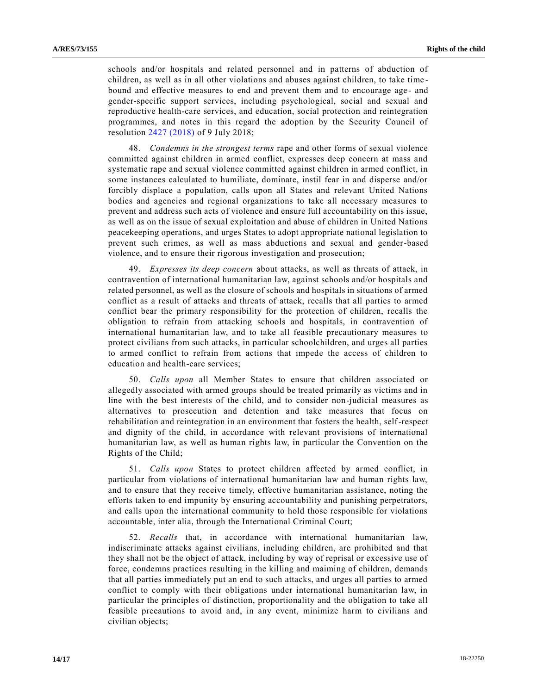schools and/or hospitals and related personnel and in patterns of abduction of children, as well as in all other violations and abuses against children, to take time bound and effective measures to end and prevent them and to encourage age - and gender-specific support services, including psychological, social and sexual and reproductive health-care services, and education, social protection and reintegration programmes, and notes in this regard the adoption by the Security Council of resolution 2427 [\(2018\)](https://undocs.org/S/RES/2427(2018)) of 9 July 2018;

48. *Condemns in the strongest terms* rape and other forms of sexual violence committed against children in armed conflict, expresses deep concern at mass and systematic rape and sexual violence committed against children in armed conflict, in some instances calculated to humiliate, dominate, instil fear in and disperse and/or forcibly displace a population, calls upon all States and relevant United Nations bodies and agencies and regional organizations to take all necessary measures to prevent and address such acts of violence and ensure full accountability on this issue, as well as on the issue of sexual exploitation and abuse of children in United Nations peacekeeping operations, and urges States to adopt appropriate national legislation to prevent such crimes, as well as mass abductions and sexual and gender-based violence, and to ensure their rigorous investigation and prosecution;

49. *Expresses its deep concern* about attacks, as well as threats of attack, in contravention of international humanitarian law, against schools and/or hospitals and related personnel, as well as the closure of schools and hospitals in situations of armed conflict as a result of attacks and threats of attack, recalls that all parties to armed conflict bear the primary responsibility for the protection of children, recalls the obligation to refrain from attacking schools and hospitals, in contravention of international humanitarian law, and to take all feasible precautionary measures to protect civilians from such attacks, in particular schoolchildren, and urges all parties to armed conflict to refrain from actions that impede the access of children to education and health-care services;

50. *Calls upon* all Member States to ensure that children associated or allegedly associated with armed groups should be treated primarily as victims and in line with the best interests of the child, and to consider non-judicial measures as alternatives to prosecution and detention and take measures that focus on rehabilitation and reintegration in an environment that fosters the health, self-respect and dignity of the child, in accordance with relevant provisions of international humanitarian law, as well as human rights law, in particular the Convention on the Rights of the Child;

51. *Calls upon* States to protect children affected by armed conflict, in particular from violations of international humanitarian law and human rights law, and to ensure that they receive timely, effective humanitarian assistance, noting the efforts taken to end impunity by ensuring accountability and punishing perpetrators, and calls upon the international community to hold those responsible for violations accountable, inter alia, through the International Criminal Court;

52. *Recalls* that, in accordance with international humanitarian law, indiscriminate attacks against civilians, including children, are prohibited and that they shall not be the object of attack, including by way of reprisal or excessive use of force, condemns practices resulting in the killing and maiming of children, demands that all parties immediately put an end to such attacks, and urges all parties to armed conflict to comply with their obligations under international humanitarian law, in particular the principles of distinction, proportionality and the obligation to take all feasible precautions to avoid and, in any event, minimize harm to civilians and civilian objects;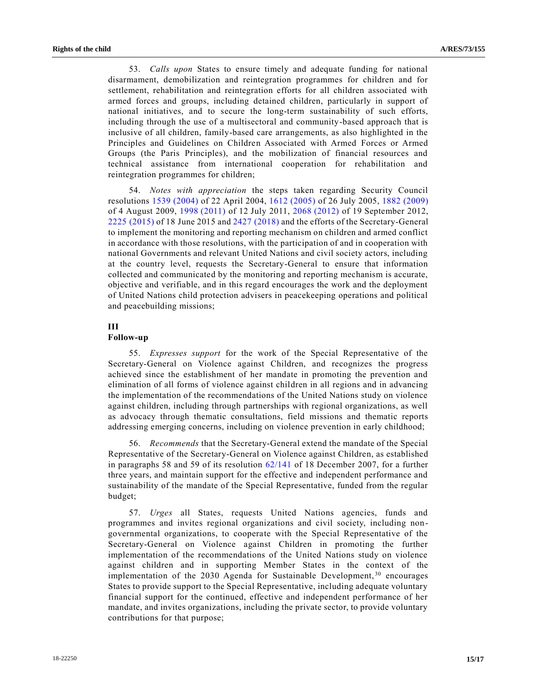53. *Calls upon* States to ensure timely and adequate funding for national disarmament, demobilization and reintegration programmes for children and for settlement, rehabilitation and reintegration efforts for all children associated with armed forces and groups, including detained children, particularly in support of national initiatives, and to secure the long-term sustainability of such efforts, including through the use of a multisectoral and community-based approach that is inclusive of all children, family-based care arrangements, as also highlighted in the Principles and Guidelines on Children Associated with Armed Forces or Armed Groups (the Paris Principles), and the mobilization of financial resources and technical assistance from international cooperation for rehabilitation and reintegration programmes for children;

54. *Notes with appreciation* the steps taken regarding Security Council resolutions 1539 [\(2004\)](https://undocs.org/S/RES/1539(2004)) of 22 April 2004, 1612 [\(2005\)](https://undocs.org/S/RES/1612(2005)) of 26 July 2005, 1882 [\(2009\)](https://undocs.org/S/RES/1882(2009)) of 4 August 2009, 1998 [\(2011\)](https://undocs.org/S/RES/1998(2011)) of 12 July 2011, 2068 [\(2012\)](https://undocs.org/S/RES/2068(2012)) of 19 September 2012, 2225 [\(2015\)](https://undocs.org/S/RES/2225(2015)) of 18 June 2015 and 2427 [\(2018\)](https://undocs.org/S/RES/2427(2018)) and the efforts of the Secretary-General to implement the monitoring and reporting mechanism on children and armed conflict in accordance with those resolutions, with the participation of and in cooperation with national Governments and relevant United Nations and civil society actors, including at the country level, requests the Secretary-General to ensure that information collected and communicated by the monitoring and reporting mechanism is accurate, objective and verifiable, and in this regard encourages the work and the deployment of United Nations child protection advisers in peacekeeping operations and political and peacebuilding missions;

# **III**

#### **Follow-up**

55. *Expresses support* for the work of the Special Representative of the Secretary-General on Violence against Children, and recognizes the progress achieved since the establishment of her mandate in promoting the prevention and elimination of all forms of violence against children in all regions and in advancing the implementation of the recommendations of the United Nations study on violence against children, including through partnerships with regional organizations, as well as advocacy through thematic consultations, field missions and thematic reports addressing emerging concerns, including on violence prevention in early childhood;

56. *Recommends* that the Secretary-General extend the mandate of the Special Representative of the Secretary-General on Violence against Children, as established in paragraphs 58 and 59 of its resolution [62/141](https://undocs.org/A/RES/62/141) of 18 December 2007, for a further three years, and maintain support for the effective and independent performance and sustainability of the mandate of the Special Representative, funded from the regular budget;

57. *Urges* all States, requests United Nations agencies, funds and programmes and invites regional organizations and civil society, including nongovernmental organizations, to cooperate with the Special Representative of the Secretary-General on Violence against Children in promoting the further implementation of the recommendations of the United Nations study on violence against children and in supporting Member States in the context of the implementation of the 2030 Agenda for Sustainable Development,<sup>30</sup> encourages States to provide support to the Special Representative, including adequate voluntary financial support for the continued, effective and independent performance of her mandate, and invites organizations, including the private sector, to provide voluntary contributions for that purpose;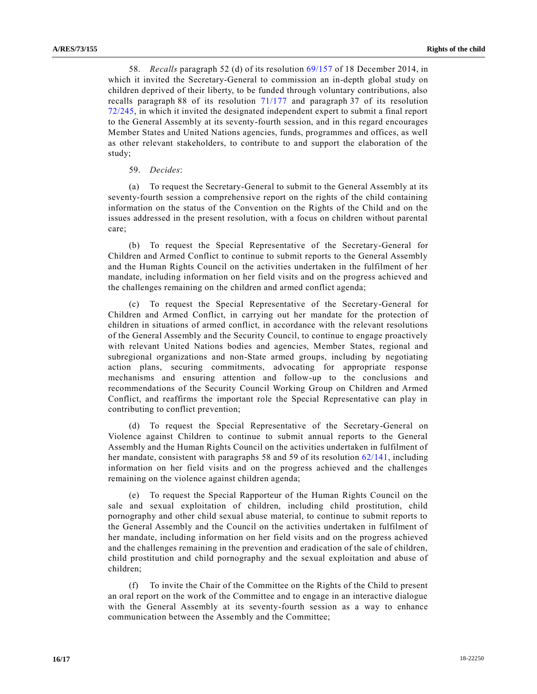58. *Recalls* paragraph 52 (d) of its resolution [69/157](https://undocs.org/A/RES/69/157) of 18 December 2014, in which it invited the Secretary-General to commission an in-depth global study on children deprived of their liberty, to be funded through voluntary contributions, also recalls paragraph 88 of its resolution [71/177](https://undocs.org/A/RES/71/177) and paragraph 37 of its resolution [72/245,](https://undocs.org/A/RES/72/245) in which it invited the designated independent expert to submit a final report to the General Assembly at its seventy-fourth session, and in this regard encourages Member States and United Nations agencies, funds, programmes and offices, as well as other relevant stakeholders, to contribute to and support the elaboration of the study;

### 59. *Decides*:

(a) To request the Secretary-General to submit to the General Assembly at its seventy-fourth session a comprehensive report on the rights of the child containing information on the status of the Convention on the Rights of the Child and on the issues addressed in the present resolution, with a focus on children without parental care;

(b) To request the Special Representative of the Secretary-General for Children and Armed Conflict to continue to submit reports to the General Assembly and the Human Rights Council on the activities undertaken in the fulfilment of her mandate, including information on her field visits and on the progress achieved and the challenges remaining on the children and armed conflict agenda;

(c) To request the Special Representative of the Secretary-General for Children and Armed Conflict, in carrying out her mandate for the protection of children in situations of armed conflict, in accordance with the relevant resolutions of the General Assembly and the Security Council, to continue to engage proactively with relevant United Nations bodies and agencies, Member States, regional and subregional organizations and non-State armed groups, including by negotiating action plans, securing commitments, advocating for appropriate response mechanisms and ensuring attention and follow-up to the conclusions and recommendations of the Security Council Working Group on Children and Armed Conflict, and reaffirms the important role the Special Representative can play in contributing to conflict prevention;

(d) To request the Special Representative of the Secretary-General on Violence against Children to continue to submit annual reports to the General Assembly and the Human Rights Council on the activities undertaken in fulfilment of her mandate, consistent with paragraphs 58 and 59 of its resolution [62/141,](https://undocs.org/A/RES/62/141) including information on her field visits and on the progress achieved and the challenges remaining on the violence against children agenda;

(e) To request the Special Rapporteur of the Human Rights Council on the sale and sexual exploitation of children, including child prostitution, child pornography and other child sexual abuse material, to continue to submit reports to the General Assembly and the Council on the activities undertaken in fulfilment of her mandate, including information on her field visits and on the progress achieved and the challenges remaining in the prevention and eradication of the sale of children, child prostitution and child pornography and the sexual exploitation and abuse of children;

(f) To invite the Chair of the Committee on the Rights of the Child to present an oral report on the work of the Committee and to engage in an interactive dialogue with the General Assembly at its seventy-fourth session as a way to enhance communication between the Assembly and the Committee;